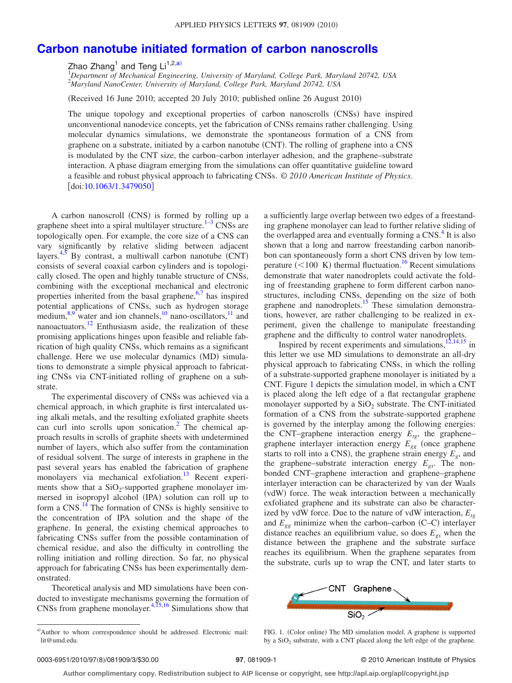## **[Carbon nanotube initiated formation of carbon nanoscrolls](http://dx.doi.org/10.1063/1.3479050)**

Zhao Zhang<sup>1</sup> and Teng Li<sup>1,2[,a](#page-0-0))</sup><br><sup>1</sup>Department of Mechanical Engineering, University of Maryland, College Park, Maryland 20742, USA 2 *Maryland NanoCenter, University of Maryland, College Park, Maryland 20742, USA*

(Received 16 June 2010; accepted 20 July 2010; published online 26 August 2010)

The unique topology and exceptional properties of carbon nanoscrolls (CNSs) have inspired unconventional nanodevice concepts, yet the fabrication of CNSs remains rather challenging. Using molecular dynamics simulations, we demonstrate the spontaneous formation of a CNS from graphene on a substrate, initiated by a carbon nanotube (CNT). The rolling of graphene into a CNS is modulated by the CNT size, the carbon–carbon interlayer adhesion, and the graphene–substrate interaction. A phase diagram emerging from the simulations can offer quantitative guideline toward a feasible and robust physical approach to fabricating CNSs. © *2010 American Institute of Physics*.  $\left[$ doi[:10.1063/1.3479050](http://dx.doi.org/10.1063/1.3479050) $\right]$ 

A carbon nanoscroll (CNS) is formed by rolling up a graphene sheet into a spiral multilayer structure.<sup>1-3</sup> CNSs are topologically open. For example, the core size of a CNS can vary significantly by relative sliding between adjacent layers.<sup>4[,5](#page-2-3)</sup> By contrast, a multiwall carbon nanotube  $(CNT)$ consists of several coaxial carbon cylinders and is topologically closed. The open and highly tunable structure of CNSs, combining with the exceptional mechanical and electronic properties inherited from the basal graphene, $6,7$  $6,7$  has inspired potential applications of CNSs, such as hydrogen storage medium, $8.9$  $8.9$  water and ion channels,  $10$  nano-oscillators,  $11$  and nanoactuators. $^{12}$  Enthusiasm aside, the realization of these promising applications hinges upon feasible and reliable fabrication of high quality CNSs, which remains as a significant challenge. Here we use molecular dynamics (MD) simulations to demonstrate a simple physical approach to fabricating CNSs via CNT-initiated rolling of graphene on a substrate.

The experimental discovery of CNSs was achieved via a chemical approach, in which graphite is first intercalated using alkali metals, and the resulting exfoliated graphite sheets can curl into scrolls upon sonication.<sup>2</sup> The chemical approach results in scrolls of graphite sheets with undetermined number of layers, which also suffer from the contamination of residual solvent. The surge of interests in graphene in the past several years has enabled the fabrication of graphene monolayers via mechanical exfoliation.<sup>13</sup> Recent experiments show that a  $SiO<sub>2</sub>$ -supported graphene monolayer immersed in isopropyl alcohol (IPA) solution can roll up to form a CNS.<sup>14</sup> The formation of CNSs is highly sensitive to the concentration of IPA solution and the shape of the graphene. In general, the existing chemical approaches to fabricating CNSs suffer from the possible contamination of chemical residue, and also the difficulty in controlling the rolling initiation and rolling direction. So far, no physical approach for fabricating CNSs has been experimentally demonstrated.

<span id="page-0-0"></span>Theoretical analysis and MD simulations have been conducted to investigate mechanisms governing the formation of CNSs from graphene monolayer. $4,15,16$  $4,15,16$  $4,15,16$  Simulations show that

a sufficiently large overlap between two edges of a freestanding graphene monolayer can lead to further relative sliding of the overlapped area and eventually forming a  $CNS<sup>4</sup>$  It is also shown that a long and narrow freestanding carbon nanoribbon can spontaneously form a short CNS driven by low temperature  $(< 100 \text{ K})$  thermal fluctuation.<sup>16</sup> Recent simulations demonstrate that water nanodroplets could activate the folding of freestanding graphene to form different carbon nanostructures, including CNSs, depending on the size of both graphene and nanodroplets.<sup>15</sup> These simulation demonstrations, however, are rather challenging to be realized in experiment, given the challenge to manipulate freestanding graphene and the difficulty to control water nanodroplets.

Inspired by recent experiments and simulations, $12,14,15$  $12,14,15$  $12,14,15$  in this letter we use MD simulations to demonstrate an all-dry physical approach to fabricating CNSs, in which the rolling of a substrate-supported graphene monolayer is initiated by a CNT. Figure [1](#page-0-1) depicts the simulation model, in which a CNT is placed along the left edge of a flat rectangular graphene monolayer supported by a  $SiO<sub>2</sub>$  substrate. The CNT-initiated formation of a CNS from the substrate-supported graphene is governed by the interplay among the following energies: the CNT–graphene interaction energy  $E_{tg}$ , the graphene– graphene interlayer interaction energy  $E_{gg}$  (once graphene starts to roll into a CNS), the graphene strain energy  $E<sub>g</sub>$ , and the graphene–substrate interaction energy *Egs*. The nonbonded CNT–graphene interaction and graphene–graphene interlayer interaction can be characterized by van der Waals (vdW) force. The weak interaction between a mechanically exfoliated graphene and its substrate can also be characterized by vdW force. Due to the nature of vdW interaction,  $E_{te}$ and  $E_{gg}$  minimize when the carbon–carbon (C–C) interlayer distance reaches an equilibrium value, so does  $E_{gs}$  when the distance between the graphene and the substrate surface reaches its equilibrium. When the graphene separates from the substrate, curls up to wrap the CNT, and later starts to

<span id="page-0-1"></span>

FIG. 1. (Color online) The MD simulation model. A graphene is supported by a  $SiO<sub>2</sub>$  substrate, with a CNT placed along the left edge of the graphene.

**Author complimentary copy. Redistribution subject to AIP license or copyright, see http://apl.aip.org/apl/copyright.jsp**

a)Author to whom correspondence should be addressed. Electronic mail: lit@umd.edu.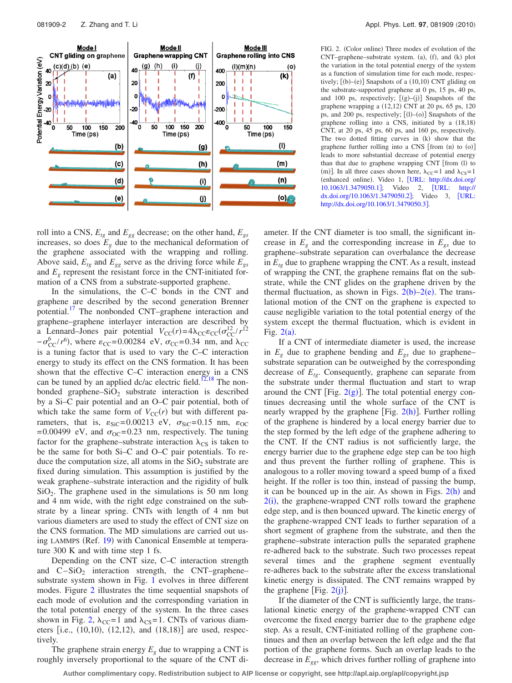<span id="page-1-0"></span>

FIG. 2. (Color online) Three modes of evolution of the  $CNT$ –graphene–substrate system. (a), (f), and (k) plot the variation in the total potential energy of the system as a function of simulation time for each mode, respectively;  $[(b)–(e)]$  Snapshots of a  $(10,10)$  CNT gliding on the substrate-supported graphene at 0 ps, 15 ps, 40 ps, and 100 ps, respectively;  $[(g)–(j)]$  Snapshots of the graphene wrapping a (12,12) CNT at 20 ps, 65 ps, 120 ps, and 200 ps, respectively;  $[(1)–(0)]$  Snapshots of the graphene rolling into a CNS, initiated by a  $(18,18)$ CNT, at 20 ps, 45 ps, 60 ps, and 160 ps, respectively. The two dotted fitting curves in  $(k)$  show that the graphene further rolling into a CNS  $[$  from  $(n)$  to  $(o)$  $]$ leads to more substantial decrease of potential energy than that due to graphene wrapping CNT [from (l) to (m)]. In all three cases shown here,  $\lambda_{\text{CC}}=1$  and  $\lambda_{\text{CS}}=1$ (enhanced online). Video 1, [[URL: http://dx.doi.org/](http://dx.doi.org/10.1063/1.3479050.1) [10.1063/1.3479050.1](http://dx.doi.org/10.1063/1.3479050.1); Video 2, [URL: http://](http://dx.doi.org/10.1063/1.3479050.2) [dx.doi.org/10.1063/1.3479050.2](http://dx.doi.org/10.1063/1.3479050.2); Video 3, [URL:](http://dx.doi.org/10.1063/1.3479050.3) <http://dx.doi.org/10.1063/1.3479050.3>].

roll into a CNS,  $E_{tg}$  and  $E_{gg}$  decrease; on the other hand,  $E_{gs}$ increases, so does  $E_{\varrho}$  due to the mechanical deformation of the graphene associated with the wrapping and rolling. Above said,  $E_{te}$  and  $E_{ge}$  serve as the driving force while  $E_{gs}$ and  $E_g$  represent the resistant force in the CNT-initiated formation of a CNS from a substrate-supported graphene.

In the simulations, the C–C bonds in the CNT and graphene are described by the second generation Brenner potential.<sup>17</sup> The nonbonded CNT–graphene interaction and graphene–graphene interlayer interaction are described by a Lennard–Jones pair potential  $V_{\text{CC}}(r) = 4\lambda_{\text{CC}} \varepsilon_{\text{CC}} (\sigma_{\text{CC}}^{12}/r^{12})$  $-\sigma_{\text{CC}}^{6}/r^{6}$ ), where  $\varepsilon_{\text{CC}}$ =0.00284 eV,  $\sigma_{\text{CC}}$ =0.34 nm, and  $\lambda_{\text{CC}}$ is a tuning factor that is used to vary the C–C interaction energy to study its effect on the CNS formation. It has been shown that the effective C–C interaction energy in a CNS can be tuned by an applied dc/ac electric field.<sup>12[,18](#page-2-17)</sup> The nonbonded graphene– $SiO<sub>2</sub>$  substrate interaction is described by a Si–C pair potential and an O–C pair potential, both of which take the same form of  $V_{\text{CC}}(r)$  but with different parameters, that is,  $\varepsilon_{\text{SiC}} = 0.00213 \text{ eV}$ ,  $\sigma_{\text{SiC}} = 0.15 \text{ nm}$ ,  $\varepsilon_{\text{OC}}$ =0.00499 eV, and  $\sigma_{OC}$ =0.23 nm, respectively. The tuning factor for the graphene–substrate interaction  $\lambda_{CS}$  is taken to be the same for both Si–C and O–C pair potentials. To reduce the computation size, all atoms in the  $SiO<sub>2</sub>$  substrate are fixed during simulation. This assumption is justified by the weak graphene–substrate interaction and the rigidity of bulk  $SiO<sub>2</sub>$ . The graphene used in the simulations is 50 nm long and 4 nm wide, with the right edge constrained on the substrate by a linear spring. CNTs with length of 4 nm but various diameters are used to study the effect of CNT size on the CNS formation. The MD simulations are carried out us-ing LAMMPS (Ref. [19](#page-2-18)) with Canonical Ensemble at temperature 300 K and with time step 1 fs.

Depending on the CNT size, C–C interaction strength and  $C-SiO<sub>2</sub>$  interaction strength, the CNT–graphene– substrate system shown in Fig. [1](#page-0-1) evolves in three different modes. Figure [2](#page-1-0) illustrates the time sequential snapshots of each mode of evolution and the corresponding variation in the total potential energy of the system. In the three cases shown in Fig. [2,](#page-1-0)  $\lambda_{CC}=1$  and  $\lambda_{CS}=1$ . CNTs of various diameters [i.e.,  $(10,10)$ ,  $(12,12)$ , and  $(18,18)$ ] are used, respectively.

The graphene strain energy  $E<sub>g</sub>$  due to wrapping a CNT is roughly inversely proportional to the square of the CNT diameter. If the CNT diameter is too small, the significant increase in  $E<sub>g</sub>$  and the corresponding increase in  $E<sub>gs</sub>$  due to graphene–substrate separation can overbalance the decrease in  $E_{t\rho}$  due to graphene wrapping the CNT. As a result, instead of wrapping the CNT, the graphene remains flat on the substrate, while the CNT glides on the graphene driven by the thermal fluctuation, as shown in Figs.  $2(b)-2(e)$  $2(b)-2(e)$ . The translational motion of the CNT on the graphene is expected to cause negligible variation to the total potential energy of the system except the thermal fluctuation, which is evident in Fig.  $2(a)$  $2(a)$ .

If a CNT of intermediate diameter is used, the increase in  $E<sub>g</sub>$  due to graphene bending and  $E<sub>gs</sub>$  due to graphene– substrate separation can be outweighed by the corresponding decrease of  $E_{t\rho}$ . Consequently, graphene can separate from the substrate under thermal fluctuation and start to wrap around the CNT [Fig.  $2(g)$  $2(g)$ ]. The total potential energy continues decreasing until the whole surface of the CNT is nearly wrapped by the graphene [Fig.  $2(h)$  $2(h)$ ]. Further rolling of the graphene is hindered by a local energy barrier due to the step formed by the left edge of the graphene adhering to the CNT. If the CNT radius is not sufficiently large, the energy barrier due to the graphene edge step can be too high and thus prevent the further rolling of graphene. This is analogous to a roller moving toward a speed bump of a fixed height. If the roller is too thin, instead of passing the bump, it can be bounced up in the air. As shown in Figs.  $2(h)$  $2(h)$  and  $2(i)$  $2(i)$ , the graphene-wrapped CNT rolls toward the graphene edge step, and is then bounced upward. The kinetic energy of the graphene-wrapped CNT leads to further separation of a short segment of graphene from the substrate, and then the graphene–substrate interaction pulls the separated graphene re-adhered back to the substrate. Such two processes repeat several times and the graphene segment eventually re-adheres back to the substrate after the excess translational kinetic energy is dissipated. The CNT remains wrapped by the graphene [Fig.  $2(j)$  $2(j)$ ].

If the diameter of the CNT is sufficiently large, the translational kinetic energy of the graphene-wrapped CNT can overcome the fixed energy barrier due to the graphene edge step. As a result, CNT-initiated rolling of the graphene continues and then an overlap between the left edge and the flat portion of the graphene forms. Such an overlap leads to the decrease in  $E_{gg}$ , which drives further rolling of graphene into